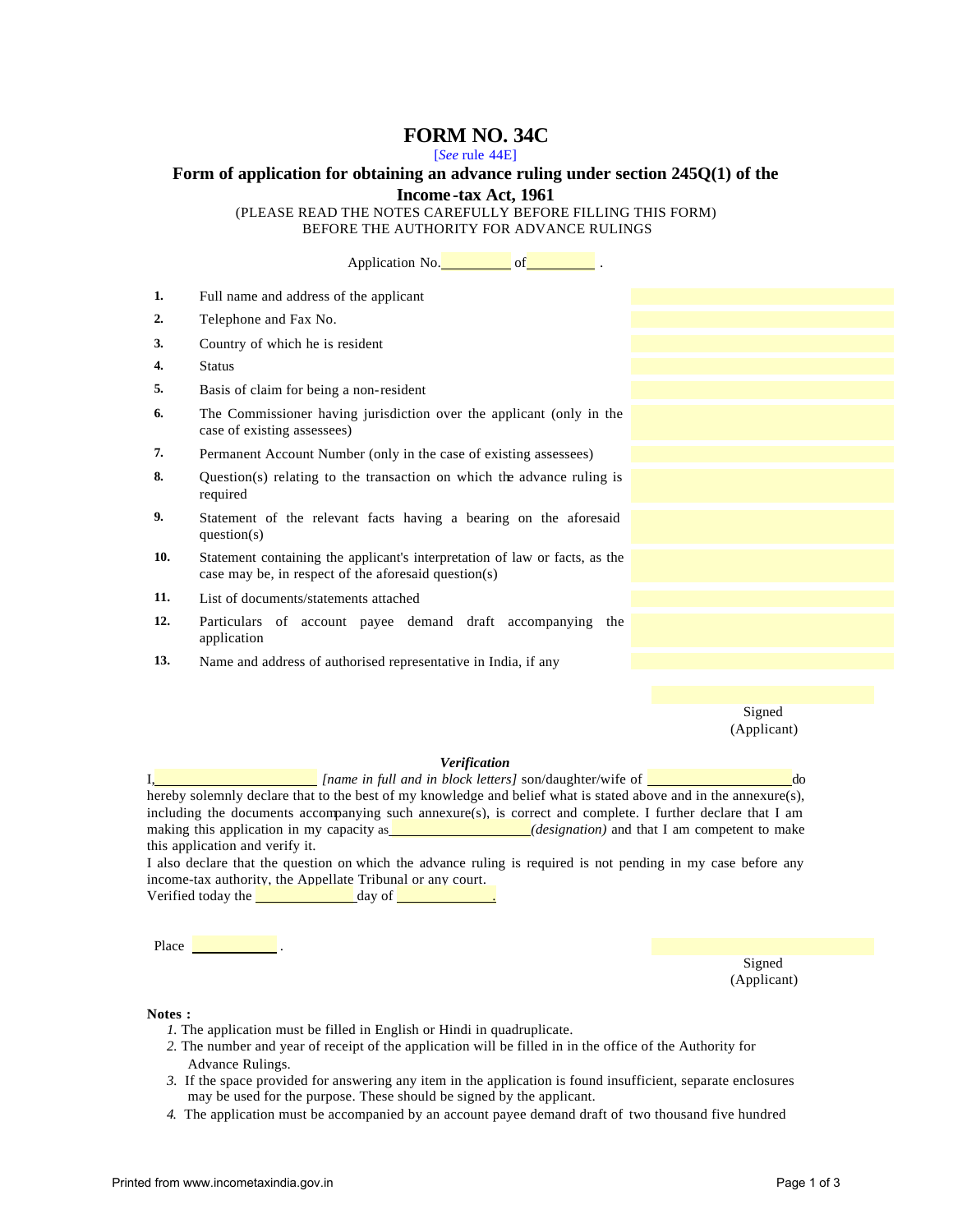# **FORM NO. 34C**

[*See* rule 44E]

## **Form of application for obtaining an advance ruling under section 245Q(1) of the**

**Income -tax Act, 1961**

(PLEASE READ THE NOTES CAREFULLY BEFORE FILLING THIS FORM) BEFORE THE AUTHORITY FOR ADVANCE RULINGS

| 1.               | Full name and address of the applicant                                                                                              |
|------------------|-------------------------------------------------------------------------------------------------------------------------------------|
| $\overline{2}$ . | Telephone and Fax No.                                                                                                               |
| 3.               | Country of which he is resident                                                                                                     |
| 4.               | <b>Status</b>                                                                                                                       |
| 5.               | Basis of claim for being a non-resident                                                                                             |
| 6.               | The Commissioner having jurisdiction over the applicant (only in the<br>case of existing assessees)                                 |
| 7.               | Permanent Account Number (only in the case of existing assessees)                                                                   |
| 8.               | Question(s) relating to the transaction on which the advance ruling is<br>required                                                  |
| 9.               | Statement of the relevant facts having a bearing on the aforesaid<br>question(s)                                                    |
| 10.              | Statement containing the applicant's interpretation of law or facts, as the<br>case may be, in respect of the aforesaid question(s) |
| 11.              | List of documents/statements attached                                                                                               |
| 12.              | Particulars of account payee demand draft accompanying the<br>application                                                           |
| 13.              | Name and address of authorised representative in India, if any                                                                      |

Signed (Applicant)

#### *Verification*

|                                                                                                                  | <i>Iname in full and in block letters]</i> son/daughter/wife of |  |  | do.                                                  |  |
|------------------------------------------------------------------------------------------------------------------|-----------------------------------------------------------------|--|--|------------------------------------------------------|--|
| hereby solemnly declare that to the best of my knowledge and belief what is stated above and in the annexure(s), |                                                                 |  |  |                                                      |  |
| including the documents accompanying such annexure(s), is correct and complete. I further declare that I am      |                                                                 |  |  |                                                      |  |
| making this application in my capacity as                                                                        |                                                                 |  |  | <i>(designation)</i> and that I am competent to make |  |
| this application and verify it.                                                                                  |                                                                 |  |  |                                                      |  |

I also declare that the question on which the advance ruling is required is not pending in my case before any income-tax authority, the Appellate Tribunal or any court.

Verified today the **disk of the day of the day of the day of the day of the day of the day of the day of the day of the day of the day of the day of the day of the day of the day of the day of the day of the day of the day** 

Place <u>example</u>

Signed (Applicant)

**Notes :**

- *1.* The application must be filled in English or Hindi in quadruplicate.
- *2.* The number and year of receipt of the application will be filled in in the office of the Authority for Advance Rulings.
- *3.* If the space provided for answering any item in the application is found insufficient, separate enclosures may be used for the purpose. These should be signed by the applicant.
- *4.* The application must be accompanied by an account payee demand draft of two thousand five hundred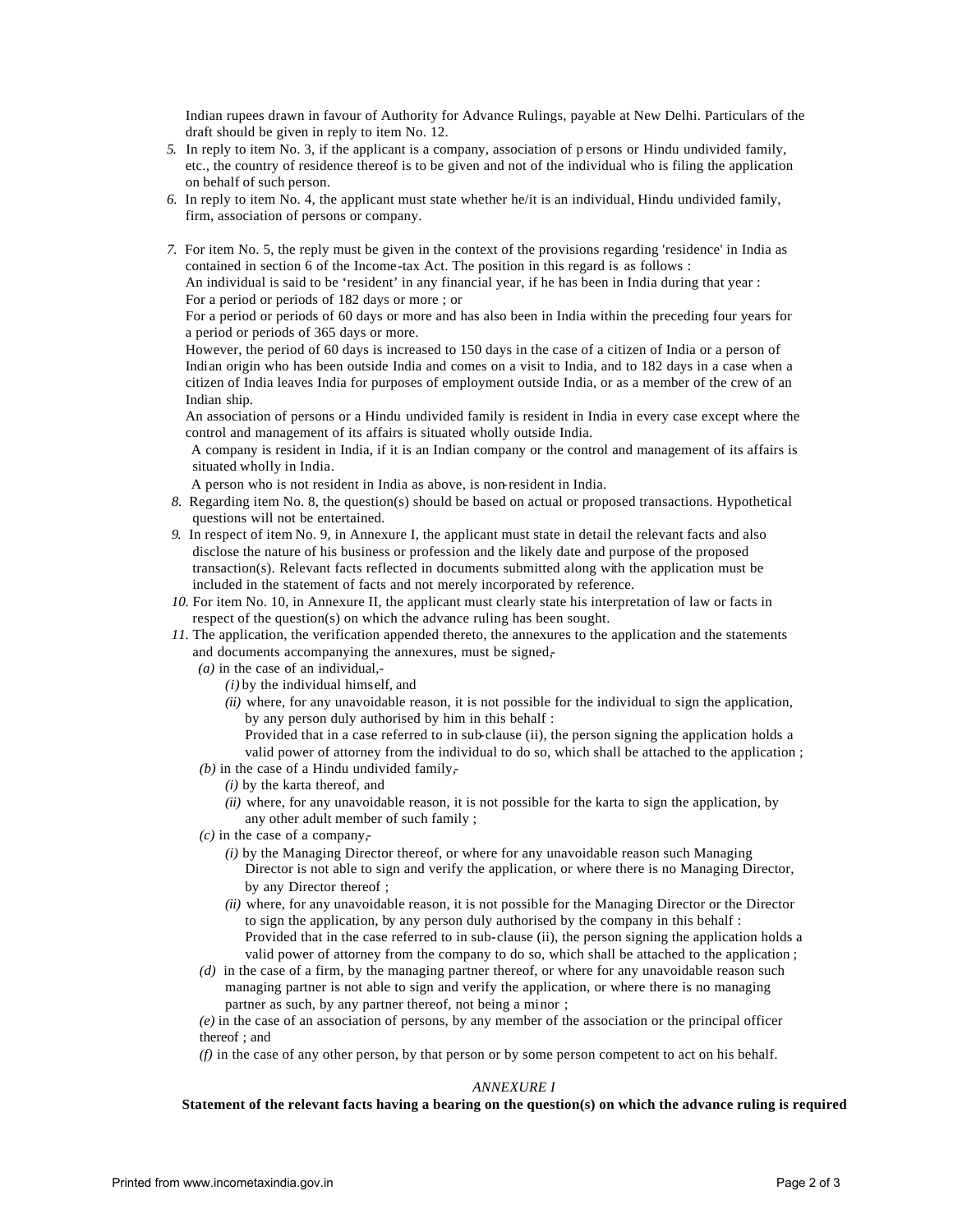Indian rupees drawn in favour of Authority for Advance Rulings, payable at New Delhi. Particulars of the draft should be given in reply to item No. 12.

- *5.* In reply to item No. 3, if the applicant is a company, association of p ersons or Hindu undivided family, etc., the country of residence thereof is to be given and not of the individual who is filing the application on behalf of such person.
- *6.* In reply to item No. 4, the applicant must state whether he/it is an individual, Hindu undivided family, firm, association of persons or company.
- *7.* For item No. 5, the reply must be given in the context of the provisions regarding 'residence' in India as contained in section 6 of the Income-tax Act. The position in this regard is as follows :

An individual is said to be 'resident' in any financial year, if he has been in India during that year : For a period or periods of 182 days or more ; or

For a period or periods of 60 days or more and has also been in India within the preceding four years for a period or periods of 365 days or more.

However, the period of 60 days is increased to 150 days in the case of a citizen of India or a person of Indian origin who has been outside India and comes on a visit to India, and to 182 days in a case when a citizen of India leaves India for purposes of employment outside India, or as a member of the crew of an Indian ship.

An association of persons or a Hindu undivided family is resident in India in every case except where the control and management of its affairs is situated wholly outside India.

A company is resident in India, if it is an Indian company or the control and management of its affairs is situated wholly in India.

A person who is not resident in India as above, is non-resident in India.

- *8.* Regarding item No. 8, the question(s) should be based on actual or proposed transactions. Hypothetical questions will not be entertained.
- *9.* In respect of item No. 9, in Annexure I, the applicant must state in detail the relevant facts and also disclose the nature of his business or profession and the likely date and purpose of the proposed transaction(s). Relevant facts reflected in documents submitted along with the application must be included in the statement of facts and not merely incorporated by reference.
- *10.* For item No. 10, in Annexure II, the applicant must clearly state his interpretation of law or facts in respect of the question(s) on which the advance ruling has been sought.
- *11.* The application, the verification appended thereto, the annexures to the application and the statements and documents accompanying the annexures, must be signed,-
	- *(a)* in the case of an individual,-
		- *(i)* by the individual himself, and
		- *(ii)* where, for any unavoidable reason, it is not possible for the individual to sign the application, by any person duly authorised by him in this behalf :

Provided that in a case referred to in sub-clause (ii), the person signing the application holds a valid power of attorney from the individual to do so, which shall be attached to the application ;

- $(b)$  in the case of a Hindu undivided family,-
	- *(i)* by the karta thereof, and
		- *(ii)* where, for any unavoidable reason, it is not possible for the karta to sign the application, by any other adult member of such family ;
- $(c)$  in the case of a company,
	- *(i)* by the Managing Director thereof, or where for any unavoidable reason such Managing Director is not able to sign and verify the application, or where there is no Managing Director, by any Director thereof ;
	- *(ii)* where, for any unavoidable reason, it is not possible for the Managing Director or the Director to sign the application, by any person duly authorised by the company in this behalf : Provided that in the case referred to in sub-clause (ii), the person signing the application holds a valid power of attorney from the company to do so, which shall be attached to the application ;
- *(d)* in the case of a firm, by the managing partner thereof, or where for any unavoidable reason such managing partner is not able to sign and verify the application, or where there is no managing partner as such, by any partner thereof, not being a minor ;

*(e)* in the case of an association of persons, by any member of the association or the principal officer thereof ; and

*(f)* in the case of any other person, by that person or by some person competent to act on his behalf.

#### *ANNEXURE I*

**Statement of the relevant facts having a bearing on the question(s) on which the advance ruling is required**